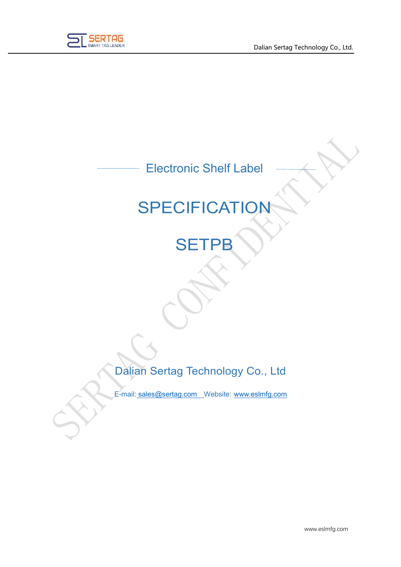

## Electronic Shelf Label

# **SPECIFICATION**

## **SETPB**

Dalian Sertag Technology Co., Ltd

E-mail: [sales@sertag.com](mailto:sales@sertag.com) Website: [www.eslmfg.com](http://www.eslmfg.com/)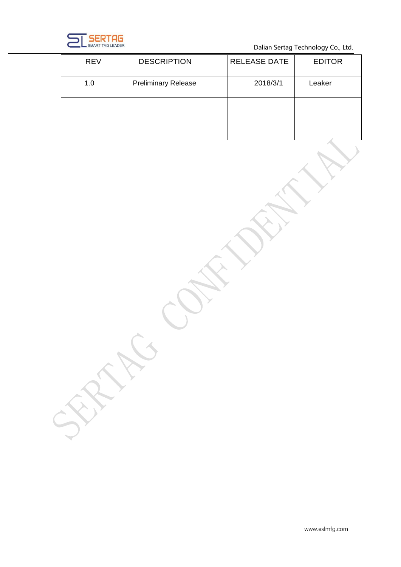

Dalian Sertag Technology Co., Ltd.

| <b>REV</b> | <b>DESCRIPTION</b>         | <b>RELEASE DATE</b> | <b>EDITOR</b>   |
|------------|----------------------------|---------------------|-----------------|
| 1.0        | <b>Preliminary Release</b> | 2018/3/1            | Leaker          |
|            |                            |                     |                 |
|            |                            |                     | and the control |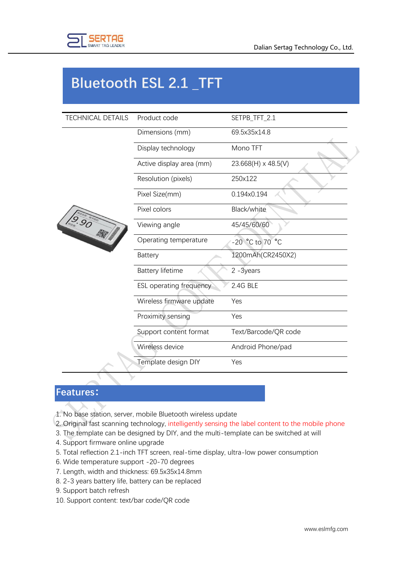

### **Bluetooth ESL 2.1 \_TFT**

| <b>TECHNICAL DETAILS</b> | Product code             | SETPB_TFT_2.1        |
|--------------------------|--------------------------|----------------------|
|                          | Dimensions (mm)          | 69.5x35x14.8         |
|                          | Display technology       | Mono TFT             |
|                          | Active display area (mm) | 23.668(H) x 48.5(V)  |
|                          | Resolution (pixels)      | 250x122              |
|                          | Pixel Size(mm)           | 0.194x0.194          |
|                          | Pixel colors             | Black/white          |
| $\sqrt{9.90}$            | Viewing angle            | 45/45/60/60          |
|                          | Operating temperature    | -20 °C to 70 °C      |
|                          | <b>Battery</b>           | 1200mAh(CR2450X2)    |
|                          | <b>Battery lifetime</b>  | $2 - 3$ years        |
|                          | ESL operating frequency  | 2.4G BLE             |
|                          | Wireless firmware update | Yes                  |
|                          | Proximity sensing        | Yes                  |
|                          | Support content format   | Text/Barcode/QR code |
|                          | Wireless device          | Android Phone/pad    |
|                          | Template design DIY      | Yes                  |

#### **Features:**

- 1. No base station, server, mobile Bluetooth wireless update
- 2. Original fast scanning technology, intelligently sensing the label content to the mobile phone
- 3. The template can be designed by DIY, and the multi-template can be switched at will
- 4. Support firmware online upgrade
- 5. Total reflection 2.1-inch TFT screen, real-time display, ultra-low power consumption
- 6. Wide temperature support -20-70 degrees
- 7. Length, width and thickness: 69.5x35x14.8mm
- 8. 2-3 years battery life, battery can be replaced
- 9. Support batch refresh
- 10. Support content: text/bar code/QR code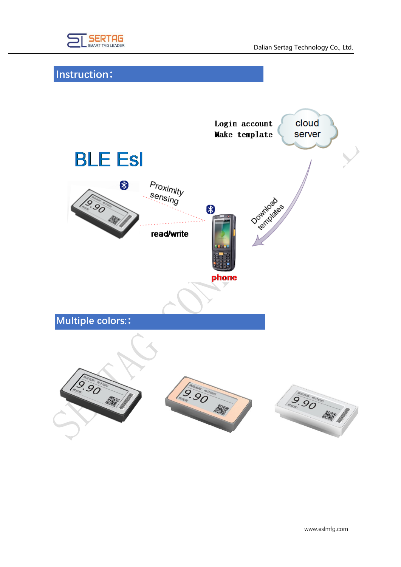

### **Instruction:**

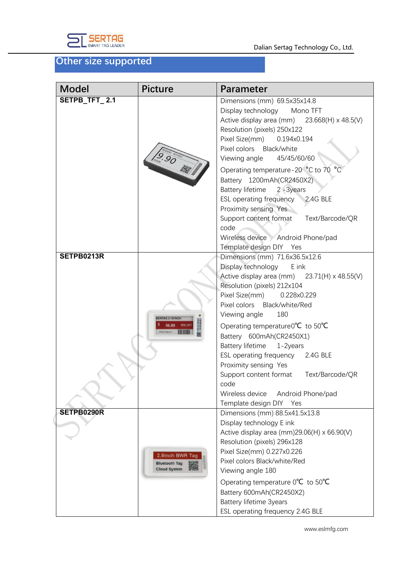

#### **Other size supported**

| <b>Model</b>  | <b>Picture</b>                                                 | <b>Parameter</b>                                                                                                                                                                                                                                                                                                                                                                                                                                                                                                                                         |
|---------------|----------------------------------------------------------------|----------------------------------------------------------------------------------------------------------------------------------------------------------------------------------------------------------------------------------------------------------------------------------------------------------------------------------------------------------------------------------------------------------------------------------------------------------------------------------------------------------------------------------------------------------|
| SETPB_TFT_2.1 | $\sqrt{9.90}$                                                  | Dimensions (mm) 69.5x35x14.8<br>Display technology<br>Mono TFT<br>Active display area (mm) $23.668(H) \times 48.5(V)$<br>Resolution (pixels) 250x122<br>Pixel Size(mm)<br>0.194x0.194<br>Pixel colors Black/white<br>45/45/60/60<br>Viewing angle<br>Operating temperature-20 °C to 70<br>Battery 1200mAh(CR2450X2)<br>Battery lifetime 2-3years<br>ESL operating frequency<br>2.4G BLE<br>Proximity sensing Yes<br>Text/Barcode/QR<br>Support content format<br>code<br>Wireless device Android Phone/pad<br>Template design DIY Yes                    |
| SETPB0213R    | <b>SERTAG 2.13 INCH</b>                                        | Dimensions (mm) 71.6x36.5x12.6<br>Display technology<br>E ink<br>Active display area (mm) $23.71(H) \times 48.55(V)$<br>Resolution (pixels) 212x104<br>Pixel Size(mm)<br>0.228x0.229<br>Pixel colors Black/white/Red<br>180<br>Viewing angle<br>Operating temperature $0^{\circ}C$ to $50^{\circ}C$<br>Battery 600mAh(CR2450X1)<br><b>Battery lifetime</b><br>1-2years<br>ESL operating frequency 2.4G BLE<br>Proximity sensing Yes<br>Support content format Text/Barcode/QR<br>code<br>Wireless device<br>Android Phone/pad<br>Template design DIY Yes |
| SETPB0290R    | 2.9inch BWR Tag<br><b>Bluetooth Tag</b><br><b>Cloud System</b> | Dimensions (mm) 88.5x41.5x13.8<br>Display technology E ink<br>Active display area (mm) $29.06(H) \times 66.90(V)$<br>Resolution (pixels) 296x128<br>Pixel Size(mm) 0.227x0.226<br>Pixel colors Black/white/Red<br>Viewing angle 180<br>Operating temperature $0^{\circ}C$ to $50^{\circ}C$<br>Battery 600mAh(CR2450X2)<br><b>Battery lifetime 3years</b><br>ESL operating frequency 2.4G BLE                                                                                                                                                             |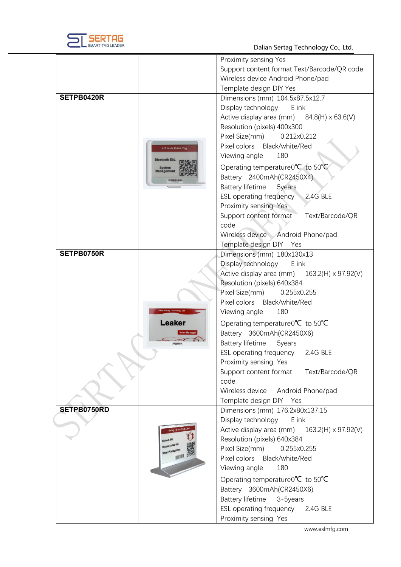

Dalian Sertag Technology Co., Ltd .

|                                    | Proximity sensing Yes                                  |
|------------------------------------|--------------------------------------------------------|
|                                    | Support content format Text/Barcode/QR code            |
|                                    | Wireless device Android Phone/pad                      |
|                                    | Template design DIY Yes                                |
| SETPB0420R                         | Dimensions (mm) 104.5x87.5x12.7                        |
|                                    | Display technology<br>E ink                            |
|                                    | Active display area (mm) $84.8(H) \times 63.6(V)$      |
|                                    | Resolution (pixels) 400x300                            |
|                                    |                                                        |
|                                    | Pixel Size(mm)<br>0.212x0.212                          |
| 4.2 inch E-ink Tag                 | Pixel colors<br>Black/white/Red                        |
| <b>Bluetooth ESL</b>               | Viewing angle<br>180                                   |
| <b>System</b><br><b>Management</b> | Operating temperature $0^{\circ}C$ to $50^{\circ}C$    |
| ,,,,,,,,,,,,,,,                    | Battery 2400mAh(CR2450X4)                              |
|                                    | <b>Battery lifetime</b><br>5years                      |
|                                    | <b>ESL operating frequency</b><br>2.4G BLE             |
|                                    | Proximity sensing Yes                                  |
|                                    | Support content format<br>Text/Barcode/QR              |
|                                    | code                                                   |
|                                    | Wireless device Android Phone/pad                      |
|                                    |                                                        |
| SETPB0750R                         | Template design DIY Yes                                |
|                                    | Dimensions (mm) 180x130x13                             |
|                                    | Display technology<br>E ink                            |
|                                    | Active display area (mm) $163.2(H) \times 97.92(V)$    |
|                                    | Resolution (pixels) 640x384                            |
|                                    | Pixel Size(mm)<br>0.255x0.255                          |
|                                    | Pixel colors<br>Black/white/Red                        |
|                                    | Viewing angle<br>180                                   |
| <b>Leaker</b>                      | Operating temperature $0^{\circ}C$ to $50^{\circ}C$    |
| <b>Sales Manager</b>               | Battery 3600mAh(CR2450X6)                              |
|                                    | Battery lifetime<br>5years                             |
|                                    | <b>ESL operating frequency</b><br>2.4G BLE             |
|                                    | Proximity sensing Yes                                  |
|                                    | Support content format<br>Text/Barcode/QR              |
|                                    | code                                                   |
|                                    |                                                        |
|                                    | Wireless device<br>Android Phone/pad                   |
|                                    | Template design DIY Yes                                |
| SETPB0750RD                        | Dimensions (mm) 176.2x80x137.15                        |
|                                    | Display technology<br>E ink                            |
| Sertag 7.6 inch E-ink Lab          | Active display area (mm)<br>$163.2(H) \times 97.92(V)$ |
|                                    | Resolution (pixels) 640x384                            |
|                                    | Pixel Size(mm)<br>0.255x0.255                          |
|                                    | Pixel colors<br>Black/white/Red                        |
|                                    | Viewing angle<br>180                                   |
|                                    | Operating temperature $0^{\circ}C$ to $50^{\circ}C$    |
|                                    | Battery 3600mAh(CR2450X6)                              |
|                                    | Battery lifetime<br>3-5years                           |
|                                    | ESL operating frequency 2.4G BLE                       |
|                                    |                                                        |
|                                    | Proximity sensing Yes                                  |

www.eslmfg.com